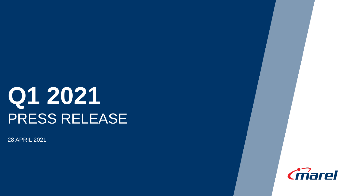# **Q1 2021** PRESS RELEASE

28 APRIL 2021

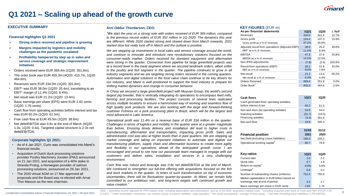

### **Q1 2021 – Scaling up ahead of the growth curve**

#### **EXECUTIVE SUMMARY**

#### **Financial highlights Q1 2021**

- **Strong orders received and pipeline is growing**
- **Margins impacted by logistics and mobility challenges as the pandemic escalated**
- **Profitability hampered by step up in sales and service coverage and strategic improvement initiatives**
- Orders received were EUR 369.4m (1Q20: 351.8m).
- The order book was EUR 455.3m (4Q20: 415.7m, 1Q20: 464.6m).
- Revenues were EUR 334.0m (1Q20: 301.6m).
- $EBIT<sup>1</sup>$  was EUR 38.0m (1Q20: 25.4m), translating to an EBIT<sup>1</sup> margin of 11.4% (1Q20: 8.4%).
- Net result was EUR 21.2m (1Q20: 13.4m).
- Basic earnings per share (EPS) were EUR 2.82 cents (1Q20: 1.76 cents).
- Cash flow from operating activities before interest and tax was EUR 60.2m (1Q20: 61.5m).
- Free cash flow at EUR 45.5m (1Q20: 38.6m)
- Net debt/EBITDA was 0.8x at the end of March (4Q20: 1.0x, 1Q20: 0.4x). Targeted capital structure is 2-3x net debt/EBITDA.

#### **Corporate highlights Q1 2021:**

- As of 4 Jan 2021, Curio was consolidated into Marel's financial results.
- Acquisition of Dutch duck processing solutions provider Poultry Machinery Joosten (PMJ) announced on 21 Jan 2021, and acquisition of a 40% stake in Stranda Prolog, a Norwegian provider of salmon processing solutions, announced on 29 Jan 2021.
- The 2020 virtual AGM on 17 Mar approved all proposals and the Board was re-elected with Arnar Thor Masson as the new chairman.

#### **Arni Oddur Thordarson, CEO:**

*"We start the year on a strong note with orders received of EUR 369 million, compared to the previous record orders of EUR 352 million in 1Q 2020. The dynamics this year are different. While 2020 started strong and slowed down from March onwards, 2021 started slow but really took off in March and the outlook is positive.*

*We are stepping up investments in local sales and service coverage around the world, and continue to innovate and introduce new revolutionary solutions focused on the consumer-ready market. Orders received for standard equipment and aftermarket were strong in the quarter. Conversion from pipeline for large greenfield projects was at a record level in the meat segment where we secured landmark orders, albeit softer in the poultry and fish segment in the quarter. The pipeline continues to grow in all industry segments and we are targeting strong orders received in the coming quarters. Automation and digital solutions in the food value chain continue to be key drivers for our industry, and Marel is well positioned to support the food industry to prepare for shifting market dynamics and change in consumer behavior.*

*In China we secured a large greenfield project with Muyuan Group, the world's second largest pig breeder, that is vertically integrating its operations to encompass feed mills, farming and processing facilities. The project consists of several lines replicated across multiple locations to ensure a harmonized way of working and seamless flow of high quality pork products. We are also working with the large and forward-thinking customer Frimesa on a pork processing plant in Brazil, which will be the largest and most advanced in Latin America.*

*Operational profit was 11.4% on a revenue base of EUR 334 million in the quarter. Challenges in terms of logistics and mobility in the quarter were at a greater magnitude than before. Ensuring timely delivery and installation did lead to higher costs in manufacturing, aftermarket and transportation, impacting gross profit. Sales and administrative cost was also at higher levels than in past quarters. We are stepping up market coverage and taking on important initiatives to automate and digitize our manufacturing platform, supply chain and aftermarket business to create more agility and flexibility in our operations ahead of the anticipated growth curve. I am encouraged and proud to see how our passionate team managed to engage with our customers and deliver sales, installation and services in a very challenging environment.*

*Cash flow was robust and leverage was 0.8x net debt/EBITDA at the end of March. We continued to strengthen our full-line offering with acquisitions focused on the fish and duck markets in the quarter. In times of such transformation on top of economic uncertainties, there will be fluctuations quarter-by-quarter. At Marel, we remain fully committed to our ambitious mid-, and long-term targets with continued growth and value creation."*

#### **KEY FIGURES** (EUR m)

| As per financial statements                     | <b>1Q21</b> | <b>1Q20</b> | $\wedge$ YoY |
|-------------------------------------------------|-------------|-------------|--------------|
| Revenues                                        | 334.0       | 301.6       | 10.7%        |
| Gross profit                                    | 124.4       | 107.3       | 15.9%        |
| Gross profit as a % of revenues                 | 37.2%       | 35.6%       |              |
| Adjusted result from operations (Adjusted EBIT) | 38.0        | 25.4        | 49.6%        |
| $EBIT1$ as a % of revenues                      | 11.4%       | 8.4%        |              |
| <b>EBITDA</b>                                   | 47.3        | 37.6        | 25.8%        |
| EBITDA as a % of revenues                       | 14.2%       | 12.5%       |              |
| Non-IFRS adjustments                            | (7.9)       | (2.6)       | 203.8%       |
| Result from operations (EBIT)                   | 30.1        | 22.8        | 32.0%        |
| EBIT as a % of revenues                         | $9.0\%$     | 7.6%        |              |
| Net result                                      | 21.2        | 13.4        | 58.2%        |
| Net result as a % of revenues                   | 6.3%        | 4.4%        |              |
| Orders Received                                 | 369.4       | 351.8       | 5.0%         |
| Order Book <sup>2</sup>                         | 455.3       | 464.6       | $-2.0%$      |

| Cash flows                                    | <b>1Q21</b> | <b>1Q20</b> |
|-----------------------------------------------|-------------|-------------|
| Cash generated from operating activities,     |             |             |
| before interest & tax                         | 60.2        | 61.5        |
| Net cash from (to) operating activities       | 54.9        | 44.0        |
| Investing activities                          | (31.7)      | (10.5)      |
| Financing activities                          | (3.4)       | 361.8       |
| Net cash flow                                 | 19.8        | 395.3       |
|                                               |             |             |
|                                               | 31/03       | 31/12       |
| <b>Financial position</b>                     | 2021        | 2020        |
| Net Debt (Including Lease liabilities)        | 185.0       | 205.2       |
| Operational working capital <sup>3</sup>      | 85.7        | 78.9        |
|                                               |             |             |
| Key ratios                                    | <b>1Q21</b> | 1Q20        |
| Current ratio                                 | 1.0         | 22          |
| Quick ratio                                   | 0.7         | 1.9         |
| Return on equity <sup>4</sup>                 | 8.9%        | 5.8%        |
| Leverage <sup>5</sup>                         | 0.8         | 0.4         |
| Number of outstanding shares (millions)       | 752.4       | 755.9       |
| Market capitalization in EUR billion based on |             |             |
| exchange rate at end of period                | 4.5         | 2.7         |
| Basic earnings per share in EUR cents         | 2.82        | 1.76        |

Note: 1 Operating income adjusted for PPA related costs, including depreciation and amortization, and as of Q4 2020, acquisition related costs. <sup>2</sup> Including acquired order book of Curio and PMJ of EUR 4.2m in 1Q21. 3 Trade receivables, inventories, net contract assets & contract liabilities, trade payables. 4 Net result (annualized) / average of total equity. <sup>5</sup> Net debt (Including lease liabilities) / LTM EBITDA.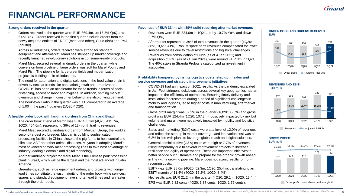

# **FINANCIAL PERFORMANCE**

#### **Strong orders received in the quarter**

- Orders received in the quarter were EUR 369.4m, up 15.5% QoQ and 5.0% YoY. Orders received in the first quarter include orders from the newly acquired entities of TREIF (meat and other), Curio (fish) and PMJ (poultry).
- Across all industries, orders received were strong for standard equipment and aftermarket. Marel has stepped up market coverage and recently launched revolutionary solutions in consumer-ready products.
- Marel Meat secured several landmark orders in the quarter, while conversion from pipeline of large orders was soft for Marel Poultry and Marel Fish. The pipeline for large greenfields and modernization projects is building up in all industries.
- The need for automation and digital solutions in the food value chain is driven by secular trends like population growth and urbanization. COVID-19 has been an accelerator for these trends in terms of social distancing, access to labor and hygiene. In addition, shifting market dynamics and change in consumer behavior are also driving demand.
- The book-to-bill ratio in the quarter was 1.11, compared to an average of 1.00 in the past 4 quarters (1Q20-4Q20).

#### **A healthy order book with landmark orders from China and Brazil**

- The order book at end of March was EUR 455.3m (4Q20: 415.7m, 1Q20: 464.6m), representing 36% of 12-month trailing revenues.
- Marel Meat secured a landmark order from Muyuan Group, the world's second-largest pig breeder. Muyuan is building sophisticated processing facilities in China, close to the pig farms to help control and eliminate ASF and other animal diseases. Muyuan is adopting Marel's most advanced primary meat processing lines to take best advantage of industry-leading electronic and digital technology.
- Another landmark project for Marel Meat is the Frimesa pork processing plant in Brazil, which will be the largest and the most advanced in Latin America.
- Greenfields, such as large equipment orders, and projects with longer lead times constitute the vast majority of the order book while services, spares and standard equipment have shorter lead times and run faster through the order book.

#### **Revenues of EUR 334m with 39% solid recurring aftermarket revenues**

- Revenues were EUR 334.0m in 1Q21, up by 10.7% YoY, and down 2.7% QoQ.
- Aftermarket represented 39% of total revenues in the quarter (4Q20: 38%, 1Q20: 41%). Robust spare parts revenues compensated for lower service revenues due to travel restrictions and logistical challenges.
- Revenues from consolidation of Curio (as of 4 Jan 2021) and acquisition of PMJ (as of 21 Jan 2021), were around EUR 3m in 1Q21. The 40% stake in Stranda Prolog is categorized as investment in associates.

#### **Profitability hampered by rising logistics costs, step up in sales and service coverage and strategic improvement initiatives**

- COVID-19 had an impact on 1Q21 results. As the pandemic escalated in Jan-Feb, stringent lockdowns across several key geographies had an impact on the efficiency of operations. Ensuring timely delivery and installation for customers during a period of significant challenges in mobility and logistics, led to higher costs in manufacturing, aftermarket and transportation.
- Gross profit margin was 37.2% in the quarter (1Q20: 35.6%) and gross profit was EUR 124.4m (1Q20: 107.3m), positively impacted by mix but volume and margin were negatively impacted by mobility and logistics challenges.
- Sales and marketing (S&M) costs were at a level of 12.0% of revenues and reflect the step up in market coverage, and innovation cost was at 6.2% in line with plans to leverage global reach and digital solutions.
- General administrative (G&A) costs were high or 7.7% of revenues, rising temporarily due to several improvement projects to increase resilience and agility of operations. These are important initiatives to better service our customers and prepare for the organic growth ahead in line with a growing pipeline. Marel does not adjust results for nonrecurring costs.
- EBIT<sup>1</sup> was EUR 38.0m (4Q20: 52.3m, 1Q20: 25.4m), translating to an EBIT<sup>1</sup> margin of 11.4% (4Q20: 15.2%, 1Q20: 8.4%).
- Net results was EUR 21.2m in the quarter (4Q20: 29.1m, 1Q20: 13.4m).
- EPS was EUR 2.82 cents (4Q20: 3.87 cents, 1Q20: 1.76 cents).

#### **ORDER BOOK AND ORDERS RECEIVED** EUR m



### **REVENUES AND EBIT<sup>1</sup>**



#### **GROSS PROFIT** EUR m, %

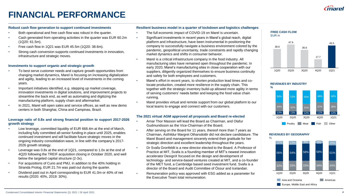

# **FINANCIAL PERFORMANCE**

#### **Robust cash flow generation to support continued investments**

- Both operational and free cash flow was robust in the quarter.
- Cash generated from operating activities in the quarter was EUR 60.2m (1Q20: 61.5m).
- Free cash flow in 1Q21 was EUR 45.5m (1Q20: 38.6m).
- Strong cash conversion supports continued investments in innovation, infrastructure and strategic moves.

#### **Investments to support organic and strategic growth**

- To best serve customer needs and capture growth opportunities from changing market dynamics, Marel is focusing on increasing digitalization and agility, leading to an increased level of investments in the coming years.
- Important initiatives identified, e.g. stepping up market coverage, innovation investments in digital solutions, and improvement projects to streamline the back end, as well as automating and digitizing the manufacturing platform, supply chain and aftermarket.
- In 2021, Marel will open sales and service offices, as well as new demo centers in both Shanghai, China and Campinas, Brazil.

#### **Leverage ratio of 0.8x and strong financial position to support 2017-2026 growth strategy**

- Low leverage, committed liquidity of EUR 668.4m at the end of March, including fully committed all-senior funding in place until 2025, enables continued investment and will facilitate future strategic moves in the ongoing industry consolidation wave, in line with the company's 2017- 2026 growth strategy.
- Leverage was 0.8x at the end of 1Q21, compared to 1.0x at the end of 4Q20 following the TREIF acquisition closing in October 2020, and well below the targeted capital structure (2-3x).
- For acquisitions of Curio and PMJ, in addition to the 40% holding in Stranda Prolog, EUR 21.7m was paid out during the quarter.
- Dividend paid out in April corresponding to EUR 41.0m or 40% of net results (2020: 40%, 2019: 30%).

#### **Resilient business model in a quarter of lockdown and logistics challenges**

- The full economic impact of COVID-19 on Marel is uncertain.
- Significant investments in recent years in Marel's global reach, digital platform and infrastructure, have been instrumental in positioning the company to successfully navigate a business environment colored by the pandemic, geopolitical uncertainty, trade constraints and rapidly changing market dynamics and shifts in consumer behavior.
- Marel is a critical infrastructure company in the food industry. All manufacturing sites have remained open throughout the pandemic. In early 2020, Marel's manufacturing sites in close cooperation with our suppliers, diligently organized themselves to ensure business continuity and safety for both employees and customers.
	- Marel's effort in recent years, to shorten production lead times and colocate production, created more resilience in the supply chain. This together with the strategic inventory build-up allowed more agility in terms of serving customers' needs better and keeping the food value chain running.
	- Marel provides virtual and remote support from our global platform to our local teams to engage and connect with our customers.

#### **The 2021 virtual AGM approved all proposals and Board re-elected**

- Arnar Thor Masson will lead the Board as Chairman, and Olafur Gudmundsson as the Vice-Chairman of the Board.
- After serving on the Board for 11 years, thereof more than 7 years as Chairman, Asthildur Margret Otharsdottir did not declare candidature. The Marel Board and management sincerely extend their gratitude for her strategic direction and excellent leadership throughout the years.
- Dr Svafa Gronfeldt is a new director elected to the Board. A Professor of Practice at MIT, Svafa is a founding member of MIT's newest innovation accelerator DesignX focused on the design and development of technology- and service-based ventures created at MIT, and a co-founder of the MET fund, a Cambridge based seed investment fund. Svafa is a director of the Board and Audit Committee of Össur and Icelandair.
- Remuneration policy was approved with ESG added as a parameter for the Executive Team total remuneration.

#### **FREE CASH FLOW** EUR m





#### **REVENUES BY GEOGRAPHY**

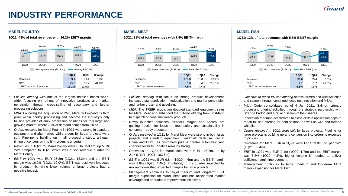# **INDUSTRY PERFORMANCE**

### **MAREL POULTRY MAREL MEAT MAREL FISH**

**1Q21: 48% of total revenues with 16.2% EBIT<sup>1</sup> margin 1Q21: 38% of total revenues with 7.8% EBIT<sup>1</sup> margin 1Q21: 12% of total revenues with 5.3% EBIT<sup>1</sup> margin**

| 12.0%                                               | 19.8%                      | 21.1% |               | 19.7%         | 16.2%  |  |  |  |
|-----------------------------------------------------|----------------------------|-------|---------------|---------------|--------|--|--|--|
| 151.1                                               | 161.5                      | 157.7 |               | 165.1         | 159.1  |  |  |  |
| 1Q20                                                | 2Q20                       | 3Q20  | 4Q20          |               | 1Q21   |  |  |  |
| Poultry revenues (EUR m) <b>-D</b> Poultry EBIT (%) |                            |       |               |               |        |  |  |  |
|                                                     |                            |       | <b>1Q21</b>   | <b>1Q20</b>   | Change |  |  |  |
| <b>Revenues</b>                                     |                            |       | 159.1         | 151.1         | 5.3%   |  |  |  |
| EBIT <sup>1</sup>                                   | $EBIT1$ as a % of revenues |       | 25.8<br>16.2% | 18.2<br>12.0% | 41.8%  |  |  |  |

- *Full-line offering* with one of the largest installed bases worldwide, focusing on roll-out of innovative products and market penetration through cross-selling of secondary and further processing solutions.
- *M&A:* Following the acquisition of PMJ, Marel will expand its third pillar within poultry processing and become the industry's only full-line provider of duck processing solutions for this large and growing market, where 70% of demand comes from China.
- *Orders received* for Marel Poultry in 1Q21 were strong in standard equipment and aftermarket, while orders for larger projects were soft. Pipeline is building up in all processing steps, although timing of conversion into firm orders is uncertain.
- *Revenues* in 1Q21 for Marel Poultry were EUR 159.1m, up 5.3% YoY compared to 1Q20 which was a soft revenue quarter for Marel Poultry.
- *EBIT in 1Q21* was EUR 25.8m (1Q21: 18.2m) and the EBIT margin was 16.2% (1Q21: 12.0%). EBIT was positively impacted by product mix, while lower volume of large projects had a negative impact.



- *Full-line offering* with focus on strong product development, increased standardization, modularization and market penetration and further cross- and upselling.
- *M&A*: The TREIF acquisition doubled standard equipment sales for Marel Meat and enhanced the full-line offering from post-farm to dispatch of consumer-ready products.
- Newly launched solutions, SensorX Magna and Accuro, are gaining traction for focus on food safety and sustainability in consumer-ready products.
- *Orders received* in 1Q21 for Marel Meat were strong in both large projects and standard equipment. Landmark deals secured in China and Brazil, as customers pursue greater automation and channel flexibility. Pipeline remains strong.
- *Revenues* in 1Q21 for Marel Meat were EUR 125.8m, up by 21.4% YoY (1Q21: 103.6m).
- *EBIT* in 1Q21 was EUR 9.8m (1Q20: 4.6m) and the EBIT margin was 7.8% (1Q20: 4.4%). Profitability in the quarter impacted by mix and lower than expected margins for large projects.
- Management continues to target medium and long-term EBIT margin expansion for Marel Meat, and has accelerated market coverage and operational improvement initiatives.



- *Objective to reach full-line offering* across farmed and wild whitefish and salmon through continued focus on innovation and M&A.
- *M&A:* Curio consolidated as of 4 Jan 2021. Salmon primary processing offering solidified through the strategic partnership with Stranda Prolog and 40% acquisition of their shares.
- Innovation roadmap accelerated to close certain application gaps to reach full-line offering for both salmon, as well as wild and farmed whitefish.
- *Orders received* in 1Q21 were soft for large projects. Pipeline for large projects is building up and conversion into orders is expected to pick up.
- *Revenues* for Marel Fish in 1Q21 were EUR 39.8m, on par YoY (1Q21: 39.4m).
- *EBIT* in 1Q21 was EUR 2.1m (1Q20: 1.7m) and the EBIT margin was 5.3% (1Q20: 4.3%), higher volume is needed to deliver sufficient margin improvement.
- Management continues to target medium and long-term EBIT margin expansion for Marel Fish.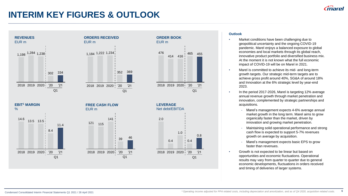### **INTERIM KEY FIGURES & OUTLOOK**



### **Outlook**

- Market conditions have been challenging due to geopolitical uncertainty and the ongoing COVID-19 pandemic. Marel enjoys a balanced exposure to global economies and local markets through its global reach, innovative product portfolio and diversified business mix. At the moment it is not known what the full economic impact of COVID-19 will be on Marel in 2021.
- Marel is committed to achieve its mid- and long-term growth targets. Our strategic mid-term targets are to achieve gross profit around 40%, SG&A of around 18% and Innovation at the 6% strategic level by year-end 2023.
- In the period 2017-2026, Marel is targeting 12% average annual revenue growth through market penetration and innovation, complemented by strategic partnerships and acquisitions.
	- Marel's management expects 4-6% average annual market growth in the long term. Marel aims to grow organically faster than the market, driven by innovation and growing market penetration.
	- Maintaining solid operational performance and strong cash flow is expected to support 5-7% revenues growth on average by acquisition.
	- Marel's management expects basic EPS to grow faster than revenues.
- Growth is not expected to be linear but based on opportunities and economic fluctuations. Operational results may vary from quarter to quarter due to general economic developments, fluctuations in orders received and timing of deliveries of larger systems.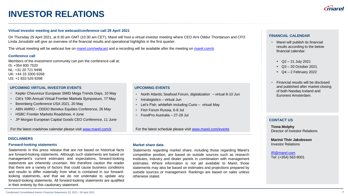# **INVESTOR RELATIONS**

#### **Virtual investor meeting and live webcast/conference call 29 April 2021**

On Thursday 29 April 2021, at 8:30 am GMT (10:30 am CET), Marel will host a virtual investor meeting where CEO Arni Oddur Thordarson and CFO Linda Jonsdottir will give an overview of the financial results and operational highlights in the first quarter.

The virtual meeting will be webcast live on [marel.com/webcast](http://www.marel.com/webcast) and a recording will be available after the meeting on [marel.com/ir.](https://marel.com/ir)

#### **Conference call**

Members of the investment community can join the conference call at: IS: +354 800 7520 NL: +31 20 721 9496 UK: +44 33 3300 9268 US: +1 833 526 8398

#### **UPCOMING VIRTUAL INVESTOR EVENTS**

- Kepler Cheuvreux European SMID Mega Trends Days, 10 May
- Citi's 10th Annual Virtual Frontier Markets Symposium, 17 May
- Berenberg Conference USA 2021, 20 May
- ABN AMRO ODDO Benelux Equities Conference, 26 May
- HSBC Frontier Markets Roadshow, 4 June
- JP Morgan European Capital Goods CEO Conference, 11 June

For the latest roadshow calendar please visit [www.marel.com/ir](http://www.marel.com/ir)

#### **DISCLAIMERS**

#### **Forward-looking statements**

Statements in this press release that are not based on historical facts are forward-looking statements. Although such statements are based on management's current estimates and expectations, forward-looking statements are inherently uncertain. We therefore caution the reader that there are a variety of factors that could cause business conditions and results to differ materially from what is contained in our forwardlooking statements, and that we do not undertake to update any forward-looking statements. All forward-looking statements are qualified in their entirety by this cautionary statement.

#### **UPCOMING EVENTS**

- North Atlantic Seafood Forum, digitalization virtual 8-10 Jun
- Intralogistics virtual Jun
- Let's Fish, whitefish including Curio virtual May
- Fish Forum Russia, 6-8 Jul
- FoodPro Australia 27-28 Jul

For the latest schedule please visit [www.marel.com/events](http://www.marel.com/events)

#### **Market share data**

Statements regarding market share, including those regarding Marel's competitive position, are based on outside sources such as research institutes, industry and dealer panels in combination with management estimates. Where information is not yet available to Marel, those statements may also be based on estimates and projections prepared by outside sources or management. Rankings are based on sales unless otherwise stated.

- Marel will publish its financial results according to the below financial calendar:
	- $\sim$  Q2 21 July 2021
	- Q3 20 October 2021
	- $\bullet$  Q4 2 February 2022
- Financial results will be disclosed and published after market closing of both Nasdaq Iceland and Euronext Amsterdam.

#### **CONTACT US**

**Tinna Molphy** Director of Investor Relations

**Marinó Thór Jakobsson** Investor Relations

[IR@marel.com](mailto:IR@marel.com) Tel: (+354) 563 8001

#### **7**